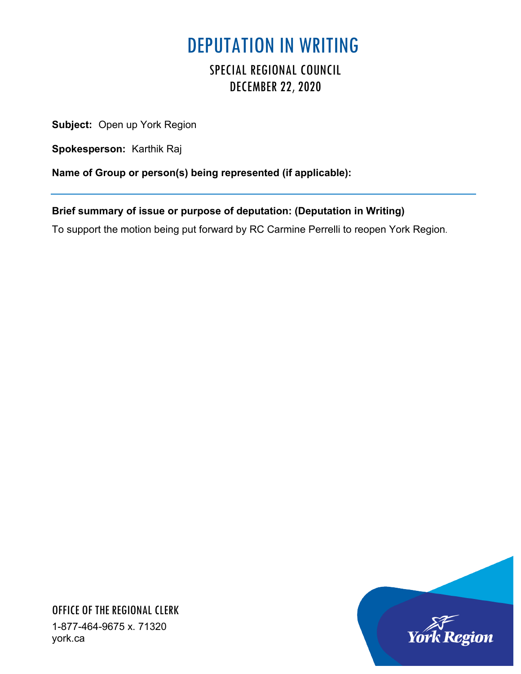## DEPUTATION IN WRITING

## SPECIAL REGIONAL COUNCIL DECEMBER 22, 2020

**Subject:** Open up York Region

**Spokesperson:** Karthik Raj

**Name of Group or person(s) being represented (if applicable):**

**Brief summary of issue or purpose of deputation: (Deputation in Writing)**

To support the motion being put forward by RC Carmine Perrelli to reopen York Region.



OFFICE OF THE REGIONAL CLERK 1-877-464-9675 x. 71320 york.ca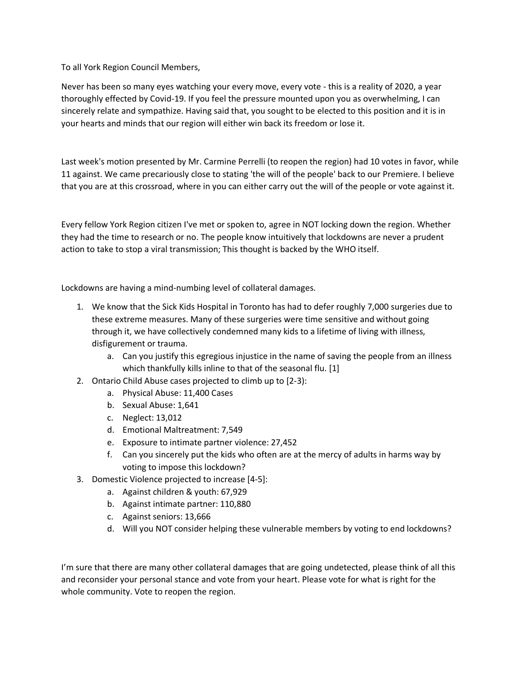To all York Region Council Members,

Never has been so many eyes watching your every move, every vote - this is a reality of 2020, a year thoroughly effected by Covid-19. If you feel the pressure mounted upon you as overwhelming, I can sincerely relate and sympathize. Having said that, you sought to be elected to this position and it is in your hearts and minds that our region will either win back its freedom or lose it.

Last week's motion presented by Mr. Carmine Perrelli (to reopen the region) had 10 votes in favor, while 11 against. We came precariously close to stating 'the will of the people' back to our Premiere. I believe that you are at this crossroad, where in you can either carry out the will of the people or vote against it.

Every fellow York Region citizen I've met or spoken to, agree in NOT locking down the region. Whether they had the time to research or no. The people know intuitively that lockdowns are never a prudent action to take to stop a viral transmission; This thought is backed by the WHO itself.

Lockdowns are having a mind-numbing level of collateral damages.

- 1. We know that the Sick Kids Hospital in Toronto has had to defer roughly 7,000 surgeries due to these extreme measures. Many of these surgeries were time sensitive and without going through it, we have collectively condemned many kids to a lifetime of living with illness, disfigurement or trauma.
	- a. Can you justify this egregious injustice in the name of saving the people from an illness which thankfully kills inline to that of the seasonal flu. [1]
- 2. Ontario Child Abuse cases projected to climb up to [2-3):
	- a. Physical Abuse: 11,400 Cases
	- b. Sexual Abuse: 1,641
	- c. Neglect: 13,012
	- d. Emotional Maltreatment: 7,549
	- e. Exposure to intimate partner violence: 27,452
	- f. Can you sincerely put the kids who often are at the mercy of adults in harms way by voting to impose this lockdown?
- 3. Domestic Violence projected to increase [4-5]:
	- a. Against children & youth: 67,929
	- b. Against intimate partner: 110,880
	- c. Against seniors: 13,666
	- d. Will you NOT consider helping these vulnerable members by voting to end lockdowns?

I'm sure that there are many other collateral damages that are going undetected, please think of all this and reconsider your personal stance and vote from your heart. Please vote for what is right for the whole community. Vote to reopen the region.